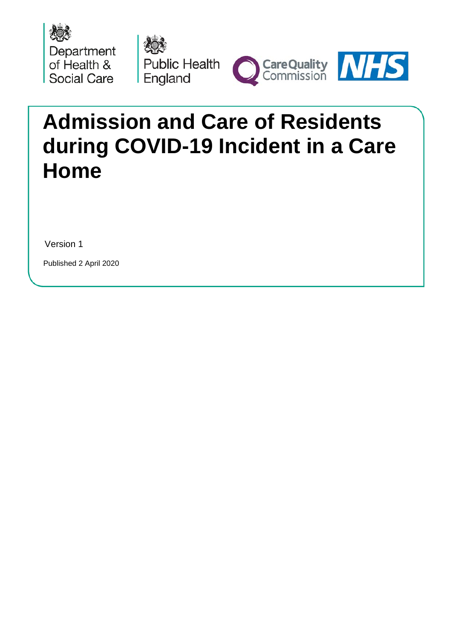





# **Admission and Care of Residents during COVID-19 Incident in a Care Home**

Version 1

Published 2 April 2020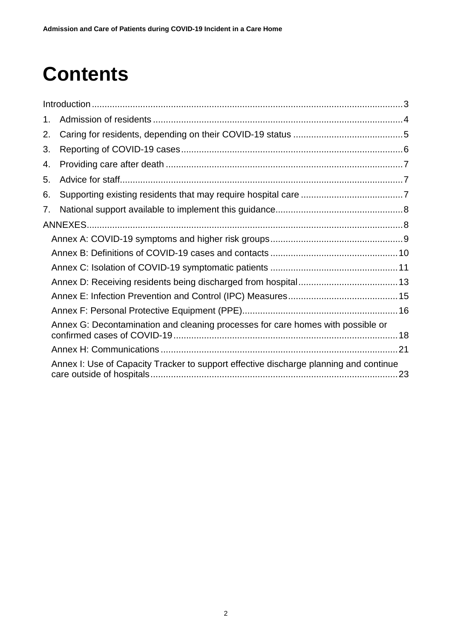# **Contents**

| 1. |                                                                                       |  |  |  |
|----|---------------------------------------------------------------------------------------|--|--|--|
| 2. |                                                                                       |  |  |  |
| 3. |                                                                                       |  |  |  |
| 4. |                                                                                       |  |  |  |
| 5. |                                                                                       |  |  |  |
| 6. |                                                                                       |  |  |  |
| 7. |                                                                                       |  |  |  |
|    |                                                                                       |  |  |  |
|    |                                                                                       |  |  |  |
|    |                                                                                       |  |  |  |
|    |                                                                                       |  |  |  |
|    |                                                                                       |  |  |  |
|    |                                                                                       |  |  |  |
|    |                                                                                       |  |  |  |
|    | Annex G: Decontamination and cleaning processes for care homes with possible or       |  |  |  |
|    |                                                                                       |  |  |  |
|    | Annex I: Use of Capacity Tracker to support effective discharge planning and continue |  |  |  |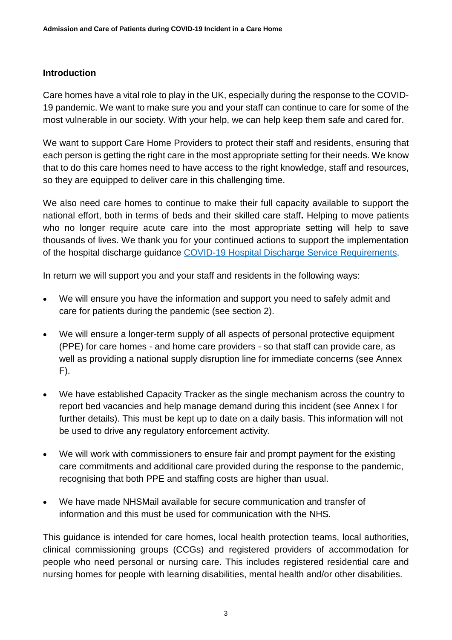## <span id="page-2-0"></span>**Introduction**

Care homes have a vital role to play in the UK, especially during the response to the COVID-19 pandemic. We want to make sure you and your staff can continue to care for some of the most vulnerable in our society. With your help, we can help keep them safe and cared for.

We want to support Care Home Providers to protect their staff and residents, ensuring that each person is getting the right care in the most appropriate setting for their needs. We know that to do this care homes need to have access to the right knowledge, staff and resources, so they are equipped to deliver care in this challenging time.

We also need care homes to continue to make their full capacity available to support the national effort, both in terms of beds and their skilled care staff**.** Helping to move patients who no longer require acute care into the most appropriate setting will help to save thousands of lives. We thank you for your continued actions to support the implementation of the hospital discharge guidance [COVID-19 Hospital Discharge Service Requirements.](https://assets.publishing.service.gov.uk/government/uploads/system/uploads/attachment_data/file/874213/COVID-19_hospital_discharge_service_requirements.pdf)

In return we will support you and your staff and residents in the following ways:

- We will ensure you have the information and support you need to safely admit and care for patients during the pandemic (see section 2).
- We will ensure a longer-term supply of all aspects of personal protective equipment (PPE) for care homes - and home care providers - so that staff can provide care, as well as providing a national supply disruption line for immediate concerns (see Annex F).
- We have established Capacity Tracker as the single mechanism across the country to report bed vacancies and help manage demand during this incident (see Annex I for further details). This must be kept up to date on a daily basis. This information will not be used to drive any regulatory enforcement activity.
- We will work with commissioners to ensure fair and prompt payment for the existing care commitments and additional care provided during the response to the pandemic, recognising that both PPE and staffing costs are higher than usual.
- We have made NHSMail available for secure communication and transfer of information and this must be used for communication with the NHS.

This guidance is intended for care homes, local health protection teams, local authorities, clinical commissioning groups (CCGs) and registered providers of accommodation for people who need personal or nursing care. This includes registered residential care and nursing homes for people with learning disabilities, mental health and/or other disabilities.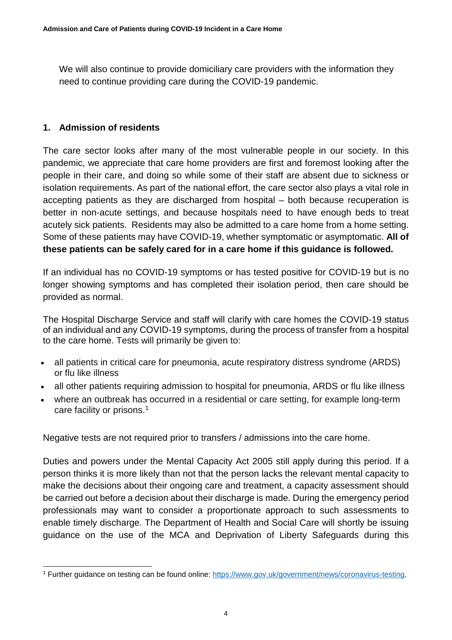We will also continue to provide domiciliary care providers with the information they need to continue providing care during the COVID-19 pandemic.

# <span id="page-3-0"></span>**1. Admission of residents**

The care sector looks after many of the most vulnerable people in our society. In this pandemic, we appreciate that care home providers are first and foremost looking after the people in their care, and doing so while some of their staff are absent due to sickness or isolation requirements. As part of the national effort, the care sector also plays a vital role in accepting patients as they are discharged from hospital – both because recuperation is better in non-acute settings, and because hospitals need to have enough beds to treat acutely sick patients. Residents may also be admitted to a care home from a home setting. Some of these patients may have COVID-19, whether symptomatic or asymptomatic. **All of these patients can be safely cared for in a care home if this guidance is followed.**

If an individual has no COVID-19 symptoms or has tested positive for COVID-19 but is no longer showing symptoms and has completed their isolation period, then care should be provided as normal.

The Hospital Discharge Service and staff will clarify with care homes the COVID-19 status of an individual and any COVID-19 symptoms, during the process of transfer from a hospital to the care home. Tests will primarily be given to:

- all patients in critical care for pneumonia, acute respiratory distress syndrome (ARDS) or flu like illness
- all other patients requiring admission to hospital for pneumonia, ARDS or flu like illness
- where an outbreak has occurred in a residential or care setting, for example long-term care facility or prisons. [1](#page-3-1)

Negative tests are not required prior to transfers / admissions into the care home.

Duties and powers under the Mental Capacity Act 2005 still apply during this period. If a person thinks it is more likely than not that the person lacks the relevant mental capacity to make the decisions about their ongoing care and treatment, a capacity assessment should be carried out before a decision about their discharge is made. During the emergency period professionals may want to consider a proportionate approach to such assessments to enable timely discharge. The Department of Health and Social Care will shortly be issuing guidance on the use of the MCA and Deprivation of Liberty Safeguards during this

<span id="page-3-1"></span> <sup>1</sup> Further guidance on testing can be found online: [https://www.gov.uk/government/news/coronavirus-testing.](https://www.gov.uk/government/news/coronavirus-testing)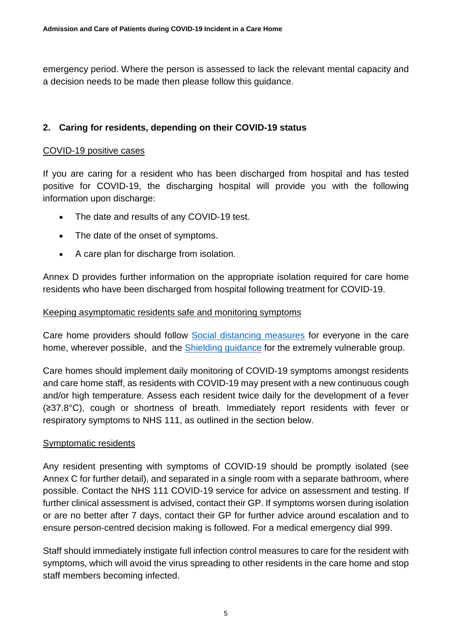emergency period. Where the person is assessed to lack the relevant mental capacity and a decision needs to be made then please follow this guidance.

# <span id="page-4-0"></span>**2. Caring for residents, depending on their COVID-19 status**

#### COVID-19 positive cases

If you are caring for a resident who has been discharged from hospital and has tested positive for COVID-19, the discharging hospital will provide you with the following information upon discharge:

- The date and results of any COVID-19 test.
- The date of the onset of symptoms.
- A care plan for discharge from isolation.

Annex D provides further information on the appropriate isolation required for care home residents who have been discharged from hospital following treatment for COVID-19.

#### Keeping asymptomatic residents safe and monitoring symptoms

Care home providers should follow [Social distancing measures](https://www.gov.uk/government/publications/covid-19-guidance-on-social-distancing-and-for-vulnerable-people/guidance-on-social-distancing-for-everyone-in-the-uk-and-protecting-older-people-and-vulnerable-adults) for everyone in the care home, wherever possible, and the **Shielding guidance** for the extremely vulnerable group.

Care homes should implement daily monitoring of COVID-19 symptoms amongst residents and care home staff, as residents with COVID-19 may present with a new continuous cough and/or high temperature. Assess each resident twice daily for the development of a fever (≥37.8°C), cough or shortness of breath. Immediately report residents with fever or respiratory symptoms to NHS 111, as outlined in the section below.

#### Symptomatic residents

Any resident presenting with symptoms of COVID-19 should be promptly isolated (see Annex C for further detail), and separated in a single room with a separate bathroom, where possible. Contact the NHS 111 COVID-19 service for advice on assessment and testing. If further clinical assessment is advised, contact their GP. If symptoms worsen during isolation or are no better after 7 days, contact their GP for further advice around escalation and to ensure person-centred decision making is followed. For a medical emergency dial 999.

Staff should immediately instigate full infection control measures to care for the resident with symptoms, which will avoid the virus spreading to other residents in the care home and stop staff members becoming infected.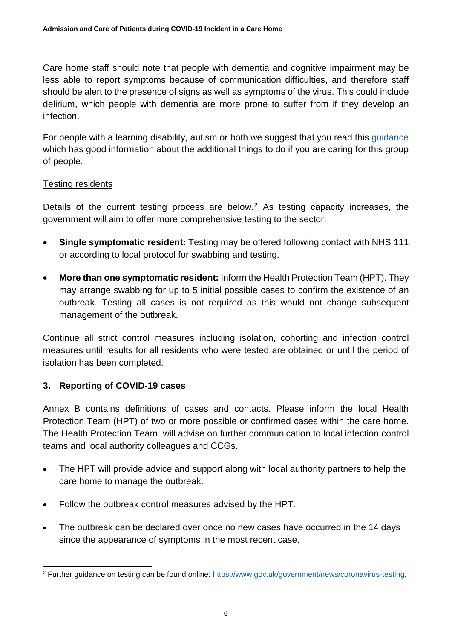Care home staff should note that people with dementia and cognitive impairment may be less able to report symptoms because of communication difficulties, and therefore staff should be alert to the presence of signs as well as symptoms of the virus. This could include delirium, which people with dementia are more prone to suffer from if they develop an infection.

For people with a learning disability, autism or both we suggest that you read this quidance which has good information about the additional things to do if you are caring for this group of people.

# Testing residents

Details of the current testing process are below.<sup>[2](#page-5-1)</sup> As testing capacity increases, the government will aim to offer more comprehensive testing to the sector:

- **Single symptomatic resident:** Testing may be offered following contact with NHS 111 or according to local protocol for swabbing and testing.
- **More than one symptomatic resident:** Inform the Health Protection Team (HPT). They may arrange swabbing for up to 5 initial possible cases to confirm the existence of an outbreak. Testing all cases is not required as this would not change subsequent management of the outbreak.

Continue all strict control measures including isolation, cohorting and infection control measures until results for all residents who were tested are obtained or until the period of isolation has been completed.

# <span id="page-5-0"></span>**3. Reporting of COVID-19 cases**

Annex B contains definitions of cases and contacts. Please inform the local Health Protection Team (HPT) of two or more possible or confirmed cases within the care home. The Health Protection Team will advise on further communication to local infection control teams and local authority colleagues and CCGs.

- The HPT will provide advice and support along with local authority partners to help the care home to manage the outbreak.
- Follow the outbreak control measures advised by the HPT.
- The outbreak can be declared over once no new cases have occurred in the 14 days since the appearance of symptoms in the most recent case.

<span id="page-5-1"></span> <sup>2</sup> Further guidance on testing can be found online: [https://www.gov.uk/government/news/coronavirus-testing.](https://www.gov.uk/government/news/coronavirus-testing)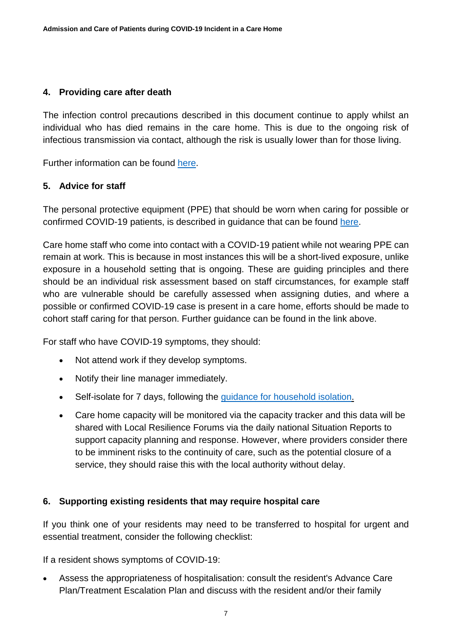# <span id="page-6-0"></span>**4. Providing care after death**

The infection control precautions described in this document continue to apply whilst an individual who has died remains in the care home. This is due to the ongoing risk of infectious transmission via contact, although the risk is usually lower than for those living.

Further information can be found [here.](https://www.gov.uk/government/publications/covid-19-guidance-for-care-of-the-deceased/guidance-for-care-of-the-deceased-with-suspected-or-confirmed-coronavirus-covid-19)

# <span id="page-6-1"></span>**5. Advice for staff**

The personal protective equipment (PPE) that should be worn when caring for possible or confirmed COVID-19 patients, is described in guidance that can be found [here.](https://www.gov.uk/government/publications/wuhan-novel-coronavirus-infection-prevention-and-control)

Care home staff who come into contact with a COVID-19 patient while not wearing PPE can remain at work. This is because in most instances this will be a short-lived exposure, unlike exposure in a household setting that is ongoing. These are guiding principles and there should be an individual risk assessment based on staff circumstances, for example staff who are vulnerable should be carefully assessed when assigning duties, and where a possible or confirmed COVID-19 case is present in a care home, efforts should be made to cohort staff caring for that person. Further guidance can be found in the link above.

For staff who have COVID-19 symptoms, they should:

- Not attend work if they develop symptoms.
- Notify their line manager immediately.
- Self-isolate for 7 days, following the [guidance for household isolation.](https://www.gov.uk/government/publications/covid-19-stay-at-home-guidance/stay-at-home-guidance-for-households-with-possible-coronavirus-covid-19-infection)
- Care home capacity will be monitored via the capacity tracker and this data will be shared with Local Resilience Forums via the daily national Situation Reports to support capacity planning and response. However, where providers consider there to be imminent risks to the continuity of care, such as the potential closure of a service, they should raise this with the local authority without delay.

#### <span id="page-6-2"></span>**6. Supporting existing residents that may require hospital care**

If you think one of your residents may need to be transferred to hospital for urgent and essential treatment, consider the following checklist:

If a resident shows symptoms of COVID-19:

• Assess the appropriateness of hospitalisation: consult the resident's Advance Care Plan/Treatment Escalation Plan and discuss with the resident and/or their family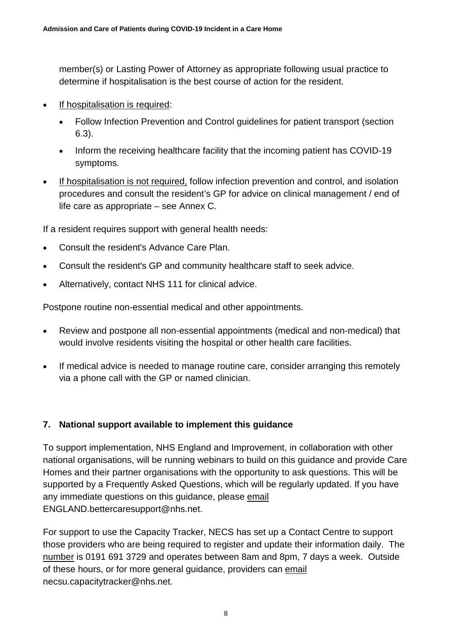member(s) or Lasting Power of Attorney as appropriate following usual practice to determine if hospitalisation is the best course of action for the resident.

- If hospitalisation is required:
	- Follow Infection Prevention and Control guidelines for patient transport (section 6.3).
	- Inform the receiving healthcare facility that the incoming patient has COVID-19 symptoms.
- If hospitalisation is not required, follow infection prevention and control, and isolation procedures and consult the resident's GP for advice on clinical management / end of life care as appropriate – see Annex C.

If a resident requires support with general health needs:

- Consult the resident's Advance Care Plan.
- Consult the resident's GP and community healthcare staff to seek advice.
- Alternatively, contact NHS 111 for clinical advice.

Postpone routine non-essential medical and other appointments.

- Review and postpone all non-essential appointments (medical and non-medical) that would involve residents visiting the hospital or other health care facilities.
- If medical advice is needed to manage routine care, consider arranging this remotely via a phone call with the GP or named clinician.

# <span id="page-7-0"></span>**7. National support available to implement this guidance**

To support implementation, NHS England and Improvement, in collaboration with other national organisations, will be running webinars to build on this guidance and provide Care Homes and their partner organisations with the opportunity to ask questions. This will be supported by a Frequently Asked Questions, which will be regularly updated. If you have any immediate questions on this guidance, please email ENGLAND.bettercaresupport@nhs.net.

<span id="page-7-1"></span>For support to use the Capacity Tracker, NECS has set up a Contact Centre to support those providers who are being required to register and update their information daily. The number is 0191 691 3729 and operates between 8am and 8pm, 7 days a week. Outside of these hours, or for more general guidance, providers can email [necsu.capacitytracker@nhs.net.](mailto:necsu.capacitytracker@nhs.net)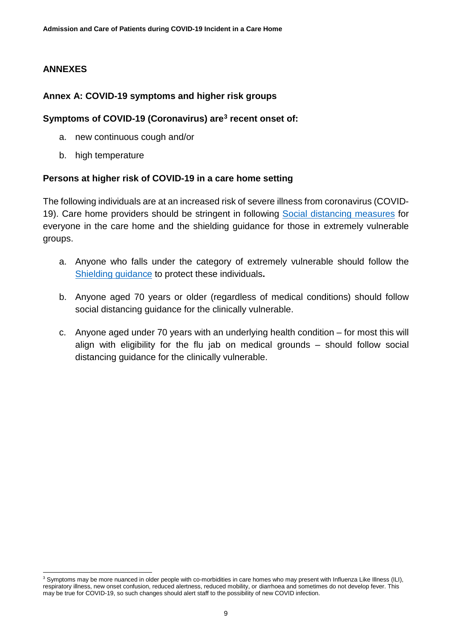# **ANNEXES**

#### <span id="page-8-0"></span>**Annex A: COVID-19 symptoms and higher risk groups**

#### **Symptoms of COVID-19 (Coronavirus) are[3](#page-8-1) recent onset of:**

- a. new continuous cough and/or
- b. high temperature

#### **Persons at higher risk of COVID-19 in a care home setting**

The following individuals are at an increased risk of severe illness from coronavirus (COVID-19). Care home providers should be stringent in following [Social distancing measures](https://www.gov.uk/government/publications/covid-19-guidance-on-social-distancing-and-for-vulnerable-people/guidance-on-social-distancing-for-everyone-in-the-uk-and-protecting-older-people-and-vulnerable-adults) for everyone in the care home and the shielding guidance for those in extremely vulnerable groups.

- a. Anyone who falls under the category of extremely vulnerable should follow the [Shielding guidance](https://www.gov.uk/government/publications/guidance-on-shielding-and-protecting-extremely-vulnerable-persons-from-covid-19) to protect these individuals**.**
- b. Anyone aged 70 years or older (regardless of medical conditions) should follow social distancing guidance for the clinically vulnerable.
- c. Anyone aged under 70 years with an underlying health condition for most this will align with eligibility for the flu jab on medical grounds – should follow social distancing guidance for the clinically vulnerable.

<span id="page-8-1"></span><sup>&</sup>lt;sup>3</sup> Symptoms may be more nuanced in older people with co-morbidities in care homes who may present with Influenza Like Illness (ILI), respiratory illness, new onset confusion, reduced alertness, reduced mobility, or diarrhoea and sometimes do not develop fever. This may be true for COVID-19, so such changes should alert staff to the possibility of new COVID infection.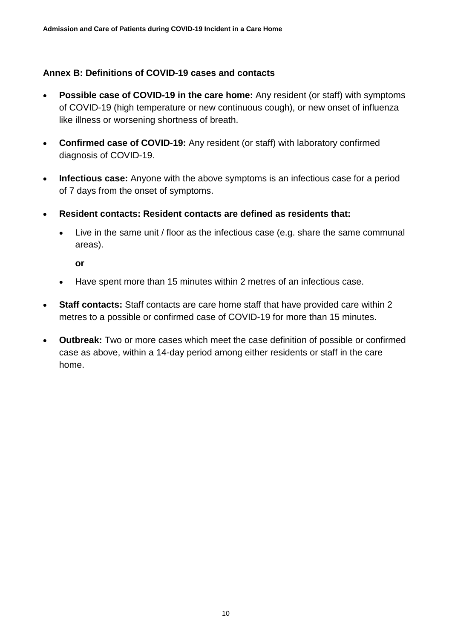#### <span id="page-9-0"></span>**Annex B: Definitions of COVID-19 cases and contacts**

- **Possible case of COVID-19 in the care home:** Any resident (or staff) with symptoms of COVID-19 (high temperature or new continuous cough), or new onset of influenza like illness or worsening shortness of breath.
- **Confirmed case of COVID-19:** Any resident (or staff) with laboratory confirmed diagnosis of COVID-19.
- **Infectious case:** Anyone with the above symptoms is an infectious case for a period of 7 days from the onset of symptoms.
- **Resident contacts: Resident contacts are defined as residents that:**
	- Live in the same unit / floor as the infectious case (e.g. share the same communal areas).

**or**

- Have spent more than 15 minutes within 2 metres of an infectious case.
- **Staff contacts:** Staff contacts are care home staff that have provided care within 2 metres to a possible or confirmed case of COVID-19 for more than 15 minutes.
- **Outbreak:** Two or more cases which meet the case definition of possible or confirmed case as above, within a 14-day period among either residents or staff in the care home.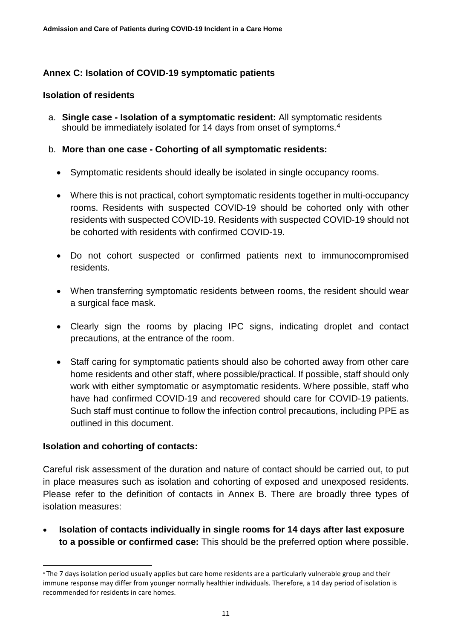# <span id="page-10-0"></span>**Annex C: Isolation of COVID-19 symptomatic patients**

#### **Isolation of residents**

a. **Single case - Isolation of a symptomatic resident:** All symptomatic residents should be immediately isolated for 1[4](#page-10-1) days from onset of symptoms.<sup>4</sup>

#### b. **More than one case - Cohorting of all symptomatic residents:**

- Symptomatic residents should ideally be isolated in single occupancy rooms.
- Where this is not practical, cohort symptomatic residents together in multi-occupancy rooms. Residents with suspected COVID-19 should be cohorted only with other residents with suspected COVID-19. Residents with suspected COVID-19 should not be cohorted with residents with confirmed COVID-19.
- Do not cohort suspected or confirmed patients next to immunocompromised residents.
- When transferring symptomatic residents between rooms, the resident should wear a surgical face mask.
- Clearly sign the rooms by placing IPC signs, indicating droplet and contact precautions, at the entrance of the room.
- Staff caring for symptomatic patients should also be cohorted away from other care home residents and other staff, where possible/practical. If possible, staff should only work with either symptomatic or asymptomatic residents. Where possible, staff who have had confirmed COVID-19 and recovered should care for COVID-19 patients. Such staff must continue to follow the infection control precautions, including PPE as outlined in this document.

#### **Isolation and cohorting of contacts:**

-

Careful risk assessment of the duration and nature of contact should be carried out, to put in place measures such as isolation and cohorting of exposed and unexposed residents. Please refer to the definition of contacts in Annex B. There are broadly three types of isolation measures:

• **Isolation of contacts individually in single rooms for 14 days after last exposure to a possible or confirmed case:** This should be the preferred option where possible.

<span id="page-10-1"></span><sup>4</sup> The 7 days isolation period usually applies but care home residents are a particularly vulnerable group and their immune response may differ from younger normally healthier individuals. Therefore, a 14 day period of isolation is recommended for residents in care homes.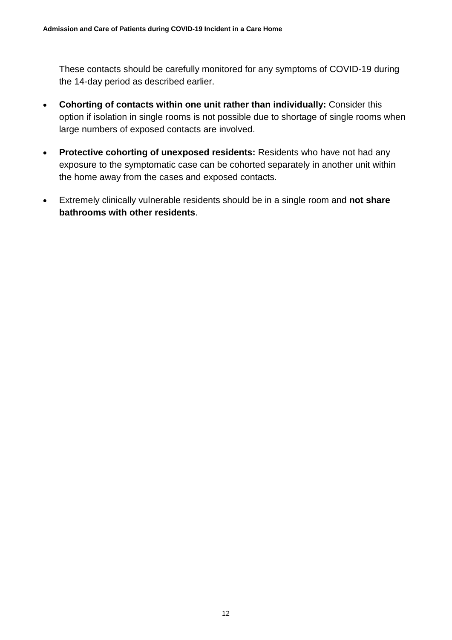These contacts should be carefully monitored for any symptoms of COVID-19 during the 14-day period as described earlier.

- **Cohorting of contacts within one unit rather than individually:** Consider this option if isolation in single rooms is not possible due to shortage of single rooms when large numbers of exposed contacts are involved.
- **Protective cohorting of unexposed residents:** Residents who have not had any exposure to the symptomatic case can be cohorted separately in another unit within the home away from the cases and exposed contacts.
- <span id="page-11-0"></span>• Extremely clinically vulnerable residents should be in a single room and **not share bathrooms with other residents**.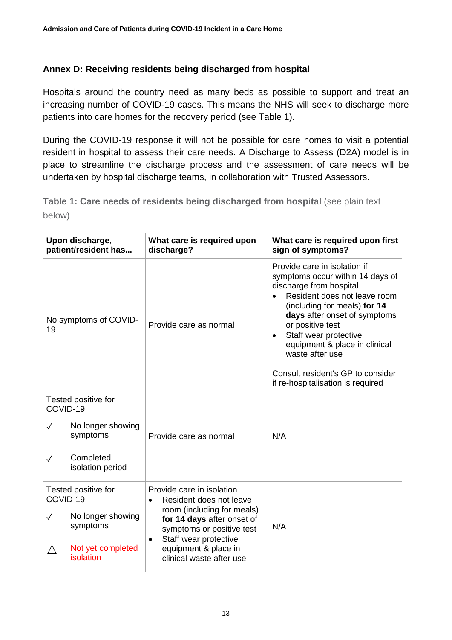# **Annex D: Receiving residents being discharged from hospital**

Hospitals around the country need as many beds as possible to support and treat an increasing number of COVID-19 cases. This means the NHS will seek to discharge more patients into care homes for the recovery period (see Table 1).

During the COVID-19 response it will not be possible for care homes to visit a potential resident in hospital to assess their care needs. A Discharge to Assess (D2A) model is in place to streamline the discharge process and the assessment of care needs will be undertaken by hospital discharge teams, in collaboration with Trusted Assessors.

**Table 1: Care needs of residents being discharged from hospital** (see plain text below)

| Upon discharge,<br>patient/resident has |                                | What care is required upon<br>discharge?                                                                                                                                        | What care is required upon first<br>sign of symptoms?                                                                                                                                                                                                                                                                                                                       |
|-----------------------------------------|--------------------------------|---------------------------------------------------------------------------------------------------------------------------------------------------------------------------------|-----------------------------------------------------------------------------------------------------------------------------------------------------------------------------------------------------------------------------------------------------------------------------------------------------------------------------------------------------------------------------|
| No symptoms of COVID-<br>19             |                                | Provide care as normal                                                                                                                                                          | Provide care in isolation if<br>symptoms occur within 14 days of<br>discharge from hospital<br>Resident does not leave room<br>(including for meals) for 14<br>days after onset of symptoms<br>or positive test<br>Staff wear protective<br>٠<br>equipment & place in clinical<br>waste after use<br>Consult resident's GP to consider<br>if re-hospitalisation is required |
| Tested positive for<br>COVID-19         |                                |                                                                                                                                                                                 |                                                                                                                                                                                                                                                                                                                                                                             |
|                                         | No longer showing<br>symptoms  | Provide care as normal                                                                                                                                                          | N/A                                                                                                                                                                                                                                                                                                                                                                         |
| $\checkmark$                            | Completed<br>isolation period  |                                                                                                                                                                                 |                                                                                                                                                                                                                                                                                                                                                                             |
| Tested positive for<br>COVID-19         |                                | Provide care in isolation<br>Resident does not leave<br>$\bullet$                                                                                                               |                                                                                                                                                                                                                                                                                                                                                                             |
| $\checkmark$                            | No longer showing<br>symptoms  | room (including for meals)<br>for 14 days after onset of<br>symptoms or positive test<br>Staff wear protective<br>$\bullet$<br>equipment & place in<br>clinical waste after use | N/A                                                                                                                                                                                                                                                                                                                                                                         |
| ⚠                                       | Not yet completed<br>isolation |                                                                                                                                                                                 |                                                                                                                                                                                                                                                                                                                                                                             |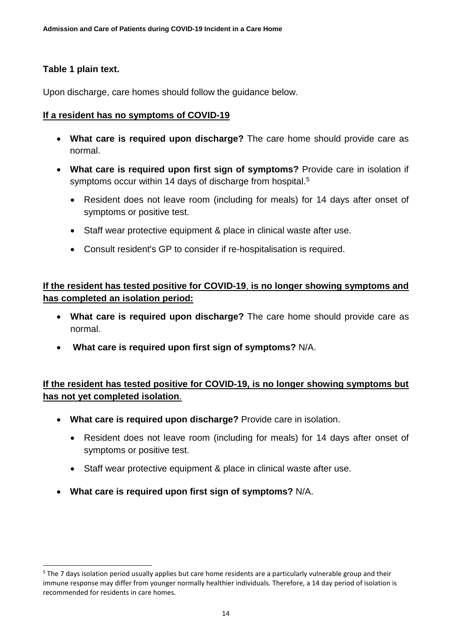# **Table 1 plain text.**

-

Upon discharge, care homes should follow the guidance below.

# **If a resident has no symptoms of COVID-19**

- **What care is required upon discharge?** The care home should provide care as normal.
- **What care is required upon first sign of symptoms?** Provide care in isolation if symptoms occur within 14 days of discharge from hospital.<sup>[5](#page-13-0)</sup>
	- Resident does not leave room (including for meals) for 14 days after onset of symptoms or positive test.
	- Staff wear protective equipment & place in clinical waste after use.
	- Consult resident's GP to consider if re-hospitalisation is required.

**If the resident has tested positive for COVID-19**, **is no longer showing symptoms and has completed an isolation period:**

- **What care is required upon discharge?** The care home should provide care as normal.
- **What care is required upon first sign of symptoms?** N/A.

**If the resident has tested positive for COVID-19, is no longer showing symptoms but has not yet completed isolation**.

- **What care is required upon discharge?** Provide care in isolation.
	- Resident does not leave room (including for meals) for 14 days after onset of symptoms or positive test.
	- Staff wear protective equipment & place in clinical waste after use.
- **What care is required upon first sign of symptoms?** N/A.

<span id="page-13-0"></span> $5$  The 7 days isolation period usually applies but care home residents are a particularly vulnerable group and their immune response may differ from younger normally healthier individuals. Therefore, a 14 day period of isolation is recommended for residents in care homes.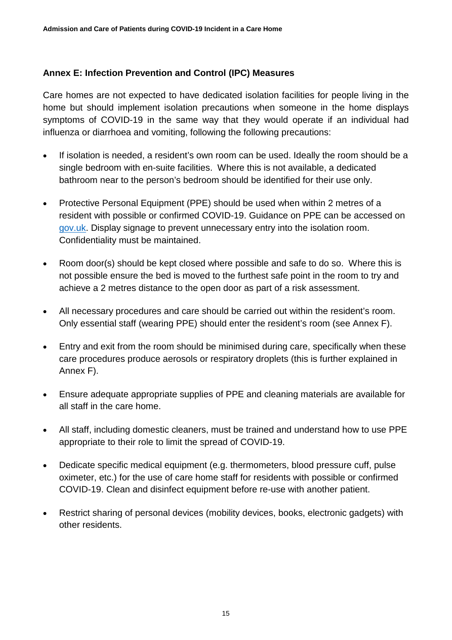# <span id="page-14-0"></span>**Annex E: Infection Prevention and Control (IPC) Measures**

Care homes are not expected to have dedicated isolation facilities for people living in the home but should implement isolation precautions when someone in the home displays symptoms of COVID-19 in the same way that they would operate if an individual had influenza or diarrhoea and vomiting, following the following precautions:

- If isolation is needed, a resident's own room can be used. Ideally the room should be a single bedroom with en-suite facilities. Where this is not available, a dedicated bathroom near to the person's bedroom should be identified for their use only.
- Protective Personal Equipment (PPE) should be used when within 2 metres of a resident with possible or confirmed COVID-19. Guidance on PPE can be accessed on [gov.uk.](https://www.gov.uk/government/publications/wuhan-novel-coronavirus-infection-prevention-and-control/covid-19-personal-protective-equipment-ppe) Display signage to prevent unnecessary entry into the isolation room. Confidentiality must be maintained.
- Room door(s) should be kept closed where possible and safe to do so. Where this is not possible ensure the bed is moved to the furthest safe point in the room to try and achieve a 2 metres distance to the open door as part of a risk assessment.
- All necessary procedures and care should be carried out within the resident's room. Only essential staff (wearing PPE) should enter the resident's room (see Annex F).
- Entry and exit from the room should be minimised during care, specifically when these care procedures produce aerosols or respiratory droplets (this is further explained in Annex F).
- Ensure adequate appropriate supplies of PPE and cleaning materials are available for all staff in the care home.
- All staff, including domestic cleaners, must be trained and understand how to use PPE appropriate to their role to limit the spread of COVID-19.
- Dedicate specific medical equipment (e.g. thermometers, blood pressure cuff, pulse oximeter, etc.) for the use of care home staff for residents with possible or confirmed COVID-19. Clean and disinfect equipment before re-use with another patient.
- Restrict sharing of personal devices (mobility devices, books, electronic gadgets) with other residents.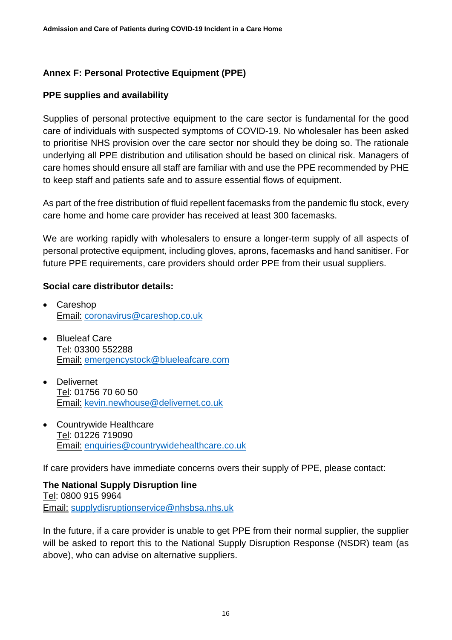# <span id="page-15-0"></span>**Annex F: Personal Protective Equipment (PPE)**

# **PPE supplies and availability**

Supplies of personal protective equipment to the care sector is fundamental for the good care of individuals with suspected symptoms of COVID-19. No wholesaler has been asked to prioritise NHS provision over the care sector nor should they be doing so. The rationale underlying all PPE distribution and utilisation should be based on clinical risk. Managers of care homes should ensure all staff are familiar with and use the PPE recommended by PHE to keep staff and patients safe and to assure essential flows of equipment.

As part of the free distribution of fluid repellent facemasks from the pandemic flu stock, every care home and home care provider has received at least 300 facemasks.

We are working rapidly with wholesalers to ensure a longer-term supply of all aspects of personal protective equipment, including gloves, aprons, facemasks and hand sanitiser. For future PPE requirements, care providers should order PPE from their usual suppliers.

#### **Social care distributor details:**

- Careshop Email: [coronavirus@careshop.co.uk](mailto:coronavirus@careshop.co.uk)
- Blueleaf Care Tel: 03300 552288 Email: [emergencystock@blueleafcare.com](mailto:emergencystock@blueleafcare.com)
- Delivernet Tel: 01756 70 60 50 Email: [kevin.newhouse@delivernet.co.uk](mailto:kevin.newhouse@delivernet.co.uk)
- Countrywide Healthcare Tel: 01226 719090 Email: [enquiries@countrywidehealthcare.co.uk](mailto:enquiries@countrywidehealthcare.co.uk)

If care providers have immediate concerns overs their supply of PPE, please contact:

**The National Supply Disruption line**  Tel: 0800 915 9964 Email: [supplydisruptionservice@nhsbsa.nhs.uk](mailto:supplydisruptionservice@nhsbsa.nhs.uk)

In the future, if a care provider is unable to get PPE from their normal supplier, the supplier will be asked to report this to the National Supply Disruption Response (NSDR) team (as above), who can advise on alternative suppliers.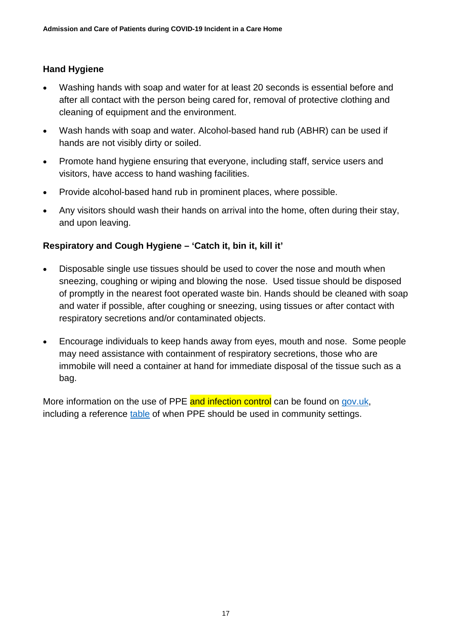# **Hand Hygiene**

- Washing hands with soap and water for at least 20 seconds is essential before and after all contact with the person being cared for, removal of protective clothing and cleaning of equipment and the environment.
- Wash hands with soap and water. Alcohol-based hand rub (ABHR) can be used if hands are not visibly dirty or soiled.
- Promote hand hygiene ensuring that everyone, including staff, service users and visitors, have access to hand washing facilities.
- Provide alcohol-based hand rub in prominent places, where possible.
- Any visitors should wash their hands on arrival into the home, often during their stay, and upon leaving.

#### **Respiratory and Cough Hygiene – 'Catch it, bin it, kill it'**

- Disposable single use tissues should be used to cover the nose and mouth when sneezing, coughing or wiping and blowing the nose. Used tissue should be disposed of promptly in the nearest foot operated waste bin. Hands should be cleaned with soap and water if possible, after coughing or sneezing, using tissues or after contact with respiratory secretions and/or contaminated objects.
- Encourage individuals to keep hands away from eyes, mouth and nose. Some people may need assistance with containment of respiratory secretions, those who are immobile will need a container at hand for immediate disposal of the tissue such as a bag.

More information on the use of PPE and infection control can be found on [gov.uk,](https://www.gov.uk/government/publications/wuhan-novel-coronavirus-infection-prevention-and-control) including a reference [table](https://assets.publishing.service.gov.uk/government/uploads/system/uploads/attachment_data/file/877599/T2_Recommended_PPE_for_primary_outpatient_and_community_care_by_setting_poster.pdf) of when PPE should be used in community settings.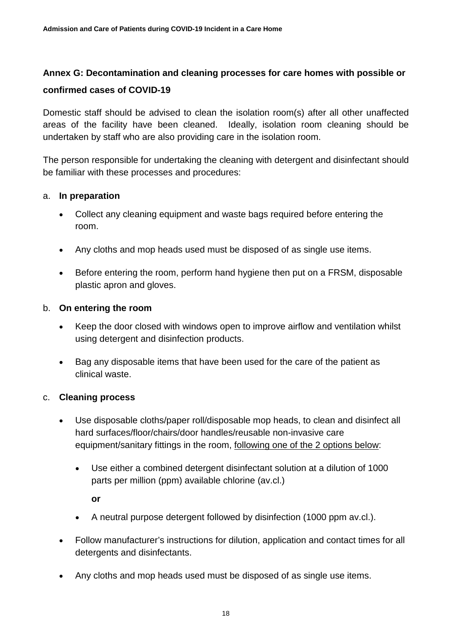# <span id="page-17-0"></span>**Annex G: Decontamination and cleaning processes for care homes with possible or confirmed cases of COVID-19**

Domestic staff should be advised to clean the isolation room(s) after all other unaffected areas of the facility have been cleaned. Ideally, isolation room cleaning should be undertaken by staff who are also providing care in the isolation room.

The person responsible for undertaking the cleaning with detergent and disinfectant should be familiar with these processes and procedures:

#### a. **In preparation**

- Collect any cleaning equipment and waste bags required before entering the room.
- Any cloths and mop heads used must be disposed of as single use items.
- Before entering the room, perform hand hygiene then put on a FRSM, disposable plastic apron and gloves.

#### b. **On entering the room**

- Keep the door closed with windows open to improve airflow and ventilation whilst using detergent and disinfection products.
- Bag any disposable items that have been used for the care of the patient as clinical waste.

#### c. **Cleaning process**

- Use disposable cloths/paper roll/disposable mop heads, to clean and disinfect all hard surfaces/floor/chairs/door handles/reusable non-invasive care equipment/sanitary fittings in the room, following one of the 2 options below:
	- Use either a combined detergent disinfectant solution at a dilution of 1000 parts per million (ppm) available chlorine (av.cl.)

**or** 

- A neutral purpose detergent followed by disinfection (1000 ppm av.cl.).
- Follow manufacturer's instructions for dilution, application and contact times for all detergents and disinfectants.
- Any cloths and mop heads used must be disposed of as single use items.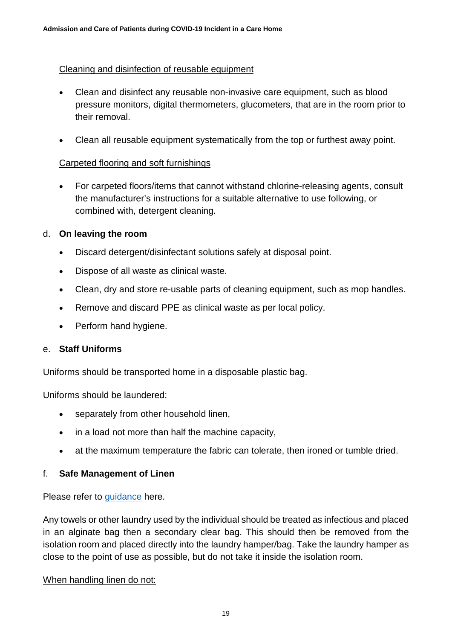#### Cleaning and disinfection of reusable equipment

- Clean and disinfect any reusable non-invasive care equipment, such as blood pressure monitors, digital thermometers, glucometers, that are in the room prior to their removal.
- Clean all reusable equipment systematically from the top or furthest away point.

#### Carpeted flooring and soft furnishings

• For carpeted floors/items that cannot withstand chlorine-releasing agents, consult the manufacturer's instructions for a suitable alternative to use following, or combined with, detergent cleaning.

#### d. **On leaving the room**

- Discard detergent/disinfectant solutions safely at disposal point.
- Dispose of all waste as clinical waste.
- Clean, dry and store re-usable parts of cleaning equipment, such as mop handles.
- Remove and discard PPE as clinical waste as per local policy.
- Perform hand hygiene.

#### e. **Staff Uniforms**

Uniforms should be transported home in a disposable plastic bag.

Uniforms should be laundered:

- separately from other household linen,
- in a load not more than half the machine capacity,
- at the maximum temperature the fabric can tolerate, then ironed or tumble dried.

#### f. **Safe Management of Linen**

Please refer to [guidance](https://assets.publishing.service.gov.uk/government/uploads/system/uploads/attachment_data/file/527545/Social_care.pdf) here.

Any towels or other laundry used by the individual should be treated as infectious and placed in an alginate bag then a secondary clear bag. This should then be removed from the isolation room and placed directly into the laundry hamper/bag. Take the laundry hamper as close to the point of use as possible, but do not take it inside the isolation room.

#### When handling linen do not: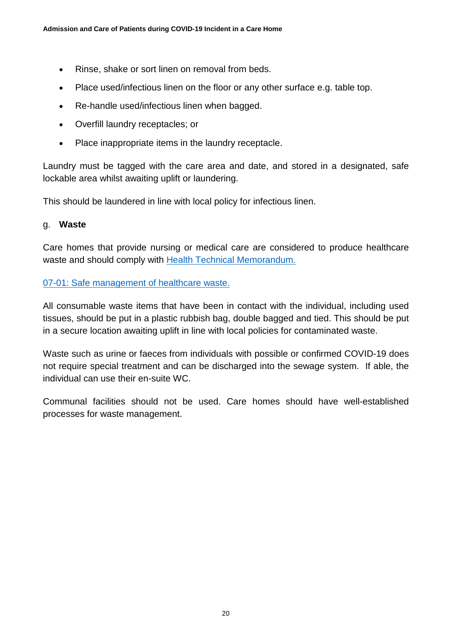- Rinse, shake or sort linen on removal from beds.
- Place used/infectious linen on the floor or any other surface e.g. table top.
- Re-handle used/infectious linen when bagged.
- Overfill laundry receptacles; or
- Place inappropriate items in the laundry receptacle.

Laundry must be tagged with the care area and date, and stored in a designated, safe lockable area whilst awaiting uplift or laundering.

This should be laundered in line with local policy for infectious linen.

#### g. **Waste**

Care homes that provide nursing or medical care are considered to produce healthcare waste and should comply with [Health Technical Memorandum.](https://assets.publishing.service.gov.uk/government/uploads/system/uploads/attachment_data/file/167976/HTM_07-01_Final.pdf)

#### [07-01: Safe management of healthcare waste.](https://assets.publishing.service.gov.uk/government/uploads/system/uploads/attachment_data/file/167976/HTM_07-01_Final.pdf)

All consumable waste items that have been in contact with the individual, including used tissues, should be put in a plastic rubbish bag, double bagged and tied. This should be put in a secure location awaiting uplift in line with local policies for contaminated waste.

Waste such as urine or faeces from individuals with possible or confirmed COVID-19 does not require special treatment and can be discharged into the sewage system. If able, the individual can use their en-suite WC.

Communal facilities should not be used. Care homes should have well-established processes for waste management.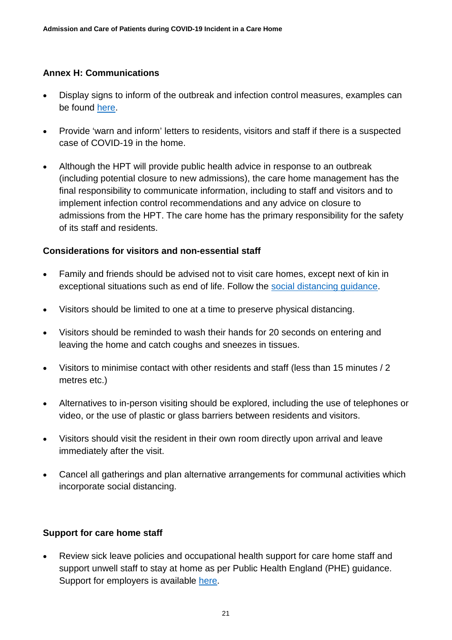## <span id="page-20-0"></span>**Annex H: Communications**

- Display signs to inform of the outbreak and infection control measures, examples can be found [here.](https://campaignresources.phe.gov.uk/resources/campaigns/101-coronavirus-/resources)
- Provide 'warn and inform' letters to residents, visitors and staff if there is a suspected case of COVID-19 in the home.
- Although the HPT will provide public health advice in response to an outbreak (including potential closure to new admissions), the care home management has the final responsibility to communicate information, including to staff and visitors and to implement infection control recommendations and any advice on closure to admissions from the HPT. The care home has the primary responsibility for the safety of its staff and residents.

#### **Considerations for visitors and non-essential staff**

- Family and friends should be advised not to visit care homes, except next of kin in exceptional situations such as end of life. Follow the [social distancing guidance.](https://www.gov.uk/government/publications/covid-19-guidance-on-social-distancing-and-for-vulnerable-people/guidance-on-social-distancing-for-everyone-in-the-uk-and-protecting-older-people-and-vulnerable-adults)
- Visitors should be limited to one at a time to preserve physical distancing.
- Visitors should be reminded to wash their hands for 20 seconds on entering and leaving the home and catch coughs and sneezes in tissues.
- Visitors to minimise contact with other residents and staff (less than 15 minutes / 2 metres etc.)
- Alternatives to in-person visiting should be explored, including the use of telephones or video, or the use of plastic or glass barriers between residents and visitors.
- Visitors should visit the resident in their own room directly upon arrival and leave immediately after the visit.
- Cancel all gatherings and plan alternative arrangements for communal activities which incorporate social distancing.

#### **Support for care home staff**

• Review sick leave policies and occupational health support for care home staff and support unwell staff to stay at home as per Public Health England (PHE) guidance. Support for employers is available [here.](https://www.gov.uk/government/publications/guidance-to-employers-and-businesses-about-covid-19/guidance-for-employers-and-businesses-on-coronavirus-covid-19)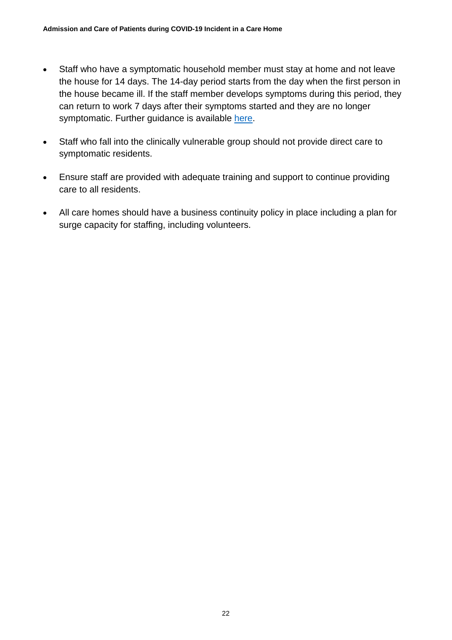- Staff who have a symptomatic household member must stay at home and not leave the house for 14 days. The 14-day period starts from the day when the first person in the house became ill. If the staff member develops symptoms during this period, they can return to work 7 days after their symptoms started and they are no longer symptomatic. Further guidance is available [here.](https://www.gov.uk/government/publications/covid-19-stay-at-home-guidance/stay-at-home-guidance-for-households-with-possible-coronavirus-covid-19-infection)
- Staff who fall into the clinically vulnerable group should not provide direct care to symptomatic residents.
- Ensure staff are provided with adequate training and support to continue providing care to all residents.
- All care homes should have a business continuity policy in place including a plan for surge capacity for staffing, including volunteers.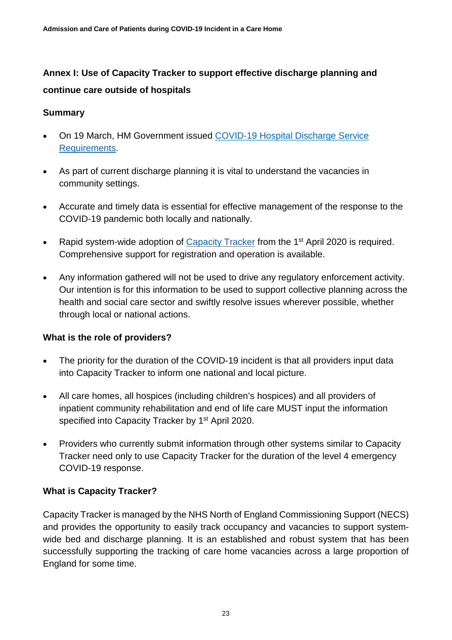# <span id="page-22-0"></span>**Annex I: Use of Capacity Tracker to support effective discharge planning and continue care outside of hospitals**

#### **Summary**

- On 19 March, HM Government issued COVID-19 Hospital Discharge Service [Requirements.](https://assets.publishing.service.gov.uk/government/uploads/system/uploads/attachment_data/file/874213/COVID-19_hospital_discharge_service_requirements.pdf)
- As part of current discharge planning it is vital to understand the vacancies in community settings.
- Accurate and timely data is essential for effective management of the response to the COVID-19 pandemic both locally and nationally.
- Rapid system-wide adoption of [Capacity Tracker](https://carehomes.necsu.nhs.uk/) from the 1<sup>st</sup> April 2020 is required. Comprehensive support for registration and operation is available.
- Any information gathered will not be used to drive any regulatory enforcement activity. Our intention is for this information to be used to support collective planning across the health and social care sector and swiftly resolve issues wherever possible, whether through local or national actions.

#### **What is the role of providers?**

- The priority for the duration of the COVID-19 incident is that all providers input data into Capacity Tracker to inform one national and local picture.
- All care homes, all hospices (including children's hospices) and all providers of inpatient community rehabilitation and end of life care MUST input the information specified into Capacity Tracker by 1<sup>st</sup> April 2020.
- Providers who currently submit information through other systems similar to Capacity Tracker need only to use Capacity Tracker for the duration of the level 4 emergency COVID-19 response.

#### **What is Capacity Tracker?**

Capacity Tracker is managed by the NHS North of England Commissioning Support (NECS) and provides the opportunity to easily track occupancy and vacancies to support systemwide bed and discharge planning. It is an established and robust system that has been successfully supporting the tracking of care home vacancies across a large proportion of England for some time.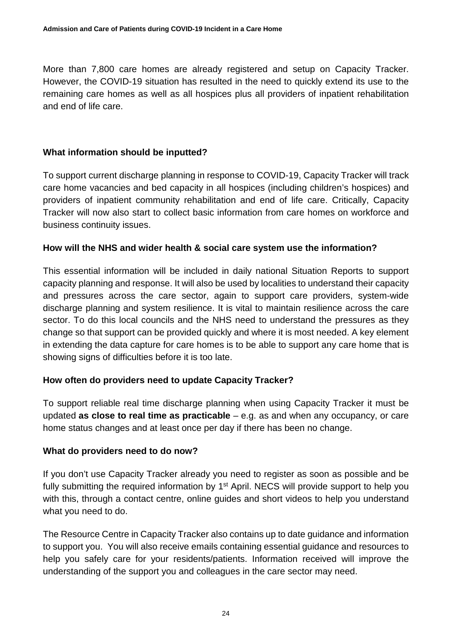More than 7,800 care homes are already registered and setup on Capacity Tracker. However, the COVID-19 situation has resulted in the need to quickly extend its use to the remaining care homes as well as all hospices plus all providers of inpatient rehabilitation and end of life care.

# **What information should be inputted?**

To support current discharge planning in response to COVID-19, Capacity Tracker will track care home vacancies and bed capacity in all hospices (including children's hospices) and providers of inpatient community rehabilitation and end of life care. Critically, Capacity Tracker will now also start to collect basic information from care homes on workforce and business continuity issues.

#### **How will the NHS and wider health & social care system use the information?**

This essential information will be included in daily national Situation Reports to support capacity planning and response. It will also be used by localities to understand their capacity and pressures across the care sector, again to support care providers, system-wide discharge planning and system resilience. It is vital to maintain resilience across the care sector. To do this local councils and the NHS need to understand the pressures as they change so that support can be provided quickly and where it is most needed. A key element in extending the data capture for care homes is to be able to support any care home that is showing signs of difficulties before it is too late.

#### **How often do providers need to update Capacity Tracker?**

To support reliable real time discharge planning when using Capacity Tracker it must be updated **as close to real time as practicable** – e.g. as and when any occupancy, or care home status changes and at least once per day if there has been no change.

#### **What do providers need to do now?**

If you don't use Capacity Tracker already you need to register as soon as possible and be fully submitting the required information by 1<sup>st</sup> April. NECS will provide support to help you with this, through a contact centre, online guides and short videos to help you understand what you need to do.

The Resource Centre in Capacity Tracker also contains up to date guidance and information to support you. You will also receive emails containing essential guidance and resources to help you safely care for your residents/patients. Information received will improve the understanding of the support you and colleagues in the care sector may need.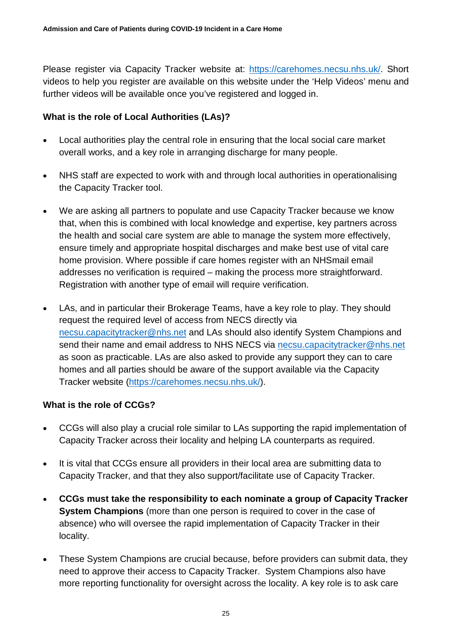Please register via Capacity Tracker website at: [https://carehomes.necsu.nhs.uk/.](https://carehomes.necsu.nhs.uk/) Short videos to help you register are available on this website under the 'Help Videos' menu and further videos will be available once you've registered and logged in.

# **What is the role of Local Authorities (LAs)?**

- Local authorities play the central role in ensuring that the local social care market overall works, and a key role in arranging discharge for many people.
- NHS staff are expected to work with and through local authorities in operationalising the Capacity Tracker tool.
- We are asking all partners to populate and use Capacity Tracker because we know that, when this is combined with local knowledge and expertise, key partners across the health and social care system are able to manage the system more effectively, ensure timely and appropriate hospital discharges and make best use of vital care home provision. Where possible if care homes register with an NHSmail email addresses no verification is required – making the process more straightforward. Registration with another type of email will require verification.
- LAs, and in particular their Brokerage Teams, have a key role to play. They should request the required level of access from NECS directly via [necsu.capacitytracker@nhs.net](mailto:necsu.capacitytracker@nhs.net) and LAs should also identify System Champions and send their name and email address to NHS NECS via [necsu.capacitytracker@nhs.net](mailto:necsu.capacitytracker@nhs.net) as soon as practicable. LAs are also asked to provide any support they can to care homes and all parties should be aware of the support available via the Capacity Tracker website [\(https://carehomes.necsu.nhs.uk/\)](https://carehomes.necsu.nhs.uk/).

# **What is the role of CCGs?**

- CCGs will also play a crucial role similar to LAs supporting the rapid implementation of Capacity Tracker across their locality and helping LA counterparts as required.
- It is vital that CCGs ensure all providers in their local area are submitting data to Capacity Tracker, and that they also support/facilitate use of Capacity Tracker.
- **CCGs must take the responsibility to each nominate a group of Capacity Tracker System Champions** (more than one person is required to cover in the case of absence) who will oversee the rapid implementation of Capacity Tracker in their locality.
- These System Champions are crucial because, before providers can submit data, they need to approve their access to Capacity Tracker. System Champions also have more reporting functionality for oversight across the locality. A key role is to ask care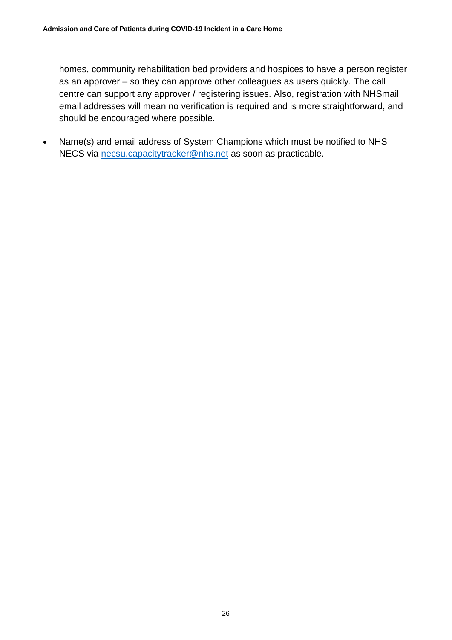homes, community rehabilitation bed providers and hospices to have a person register as an approver – so they can approve other colleagues as users quickly. The call centre can support any approver / registering issues. Also, registration with NHSmail email addresses will mean no verification is required and is more straightforward, and should be encouraged where possible.

• Name(s) and email address of System Champions which must be notified to NHS NECS via [necsu.capacitytracker@nhs.net](mailto:necsu.capacitytracker@nhs.net) as soon as practicable.